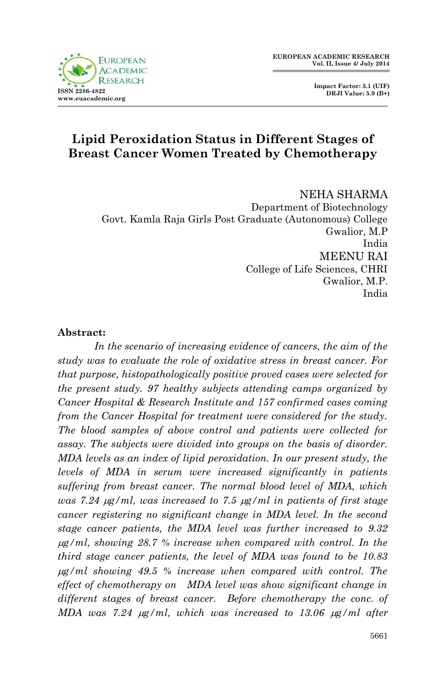

 **Impact Factor: 3.1 (UIF) DRJI Value: 5.9 (B+)**

# **Lipid Peroxidation Status in Different Stages of Breast Cancer Women Treated by Chemotherapy**

NEHA SHARMA Department of Biotechnology Govt. Kamla Raja Girls Post Graduate (Autonomous) College Gwalior, M.P India MEENU RAI College of Life Sciences, CHRI Gwalior, M.P. India

### **Abstract:**

In the scenario of increasing evidence of cancers, the aim of the *study was to evaluate the role of oxidative stress in breast cancer. For that purpose, histopathologically positive proved cases were selected for the present study. 97 healthy subjects attending camps organized by Cancer Hospital & Research Institute and 157 confirmed cases coming from the Cancer Hospital for treatment were considered for the study. The blood samples of above control and patients were collected for assay. The subjects were divided into groups on the basis of disorder. MDA levels as an index of lipid peroxidation. In our present study, the levels of MDA in serum were increased significantly in patients suffering from breast cancer. The normal blood level of MDA, which was 7.24 g/ml, was increased to 7.5 g/ml in patients of first stage cancer registering no significant change in MDA level. In the second stage cancer patients, the MDA level was further increased to 9.32 g/ml, showing 28.7 % increase when compared with control. In the third stage cancer patients, the level of MDA was found to be 10.83 g/ml showing 49.5 % increase when compared with control. The effect of chemotherapy on MDA level was show significant change in different stages of breast cancer. Before chemotherapy the conc. of MDA was 7.24*  $\mu$ *g/ml, which was increased to 13.06*  $\mu$ *g/ml after*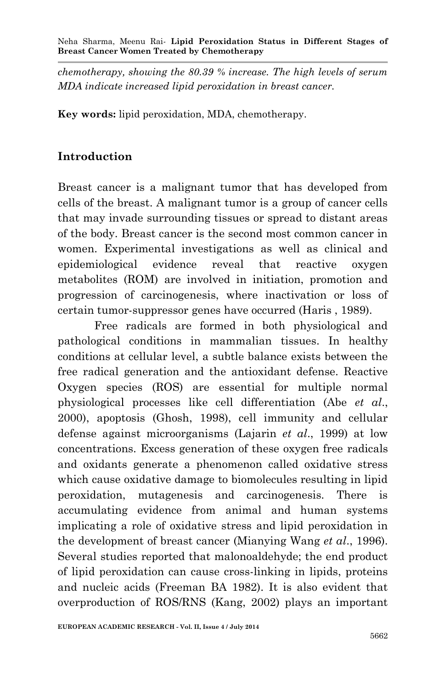*chemotherapy, showing the 80.39 % increase. The high levels of serum MDA indicate increased lipid peroxidation in breast cancer.*

**Key words:** lipid peroxidation, MDA, chemotherapy.

# **Introduction**

Breast cancer is a malignant tumor that has developed from cells of the breast. A malignant tumor is a group of cancer cells that may invade surrounding tissues or spread to distant areas of the body. Breast cancer is the second most common cancer in women. Experimental investigations as well as clinical and epidemiological evidence reveal that reactive oxygen metabolites (ROM) are involved in initiation, promotion and progression of carcinogenesis, where inactivation or loss of certain tumor-suppressor genes have occurred (Haris , 1989).

Free radicals are formed in both physiological and pathological conditions in mammalian tissues. In healthy conditions at cellular level, a subtle balance exists between the free radical generation and the antioxidant defense. Reactive Oxygen species (ROS) are essential for multiple normal physiological processes like cell differentiation (Abe *et al*., 2000), apoptosis (Ghosh, 1998), cell immunity and cellular defense against microorganisms (Lajarin *et al*., 1999) at low concentrations. Excess generation of these oxygen free radicals and oxidants generate a phenomenon called oxidative stress which cause oxidative damage to biomolecules resulting in lipid peroxidation, mutagenesis and carcinogenesis. There is accumulating evidence from animal and human systems implicating a role of oxidative stress and lipid peroxidation in the development of breast cancer (Mianying Wang *et al*., 1996). Several studies reported that malonoaldehyde; the end product of lipid peroxidation can cause cross-linking in lipids, proteins and nucleic acids (Freeman BA 1982). It is also evident that overproduction of ROS/RNS (Kang, 2002) plays an important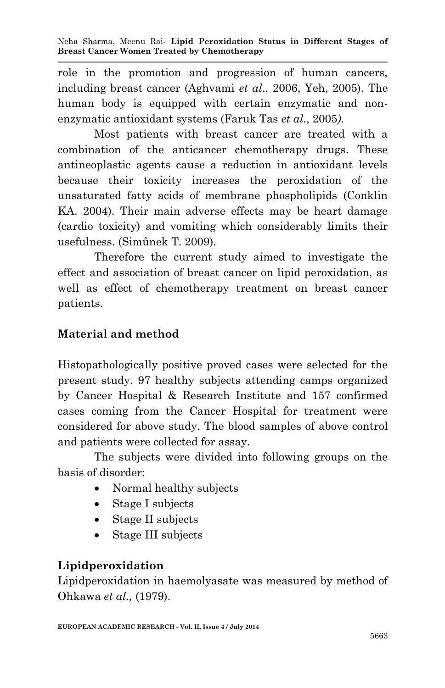role in the promotion and progression of human cancers, including breast cancer (Aghvami *et al*., 2006, Yeh, 2005). The human body is equipped with certain enzymatic and nonenzymatic antioxidant systems (Faruk Tas *et al*., 2005*).*

Most patients with breast cancer are treated with a combination of the anticancer chemotherapy drugs. These antineoplastic agents cause a reduction in antioxidant levels because their toxicity increases the peroxidation of the unsaturated fatty acids of membrane phospholipids (Conklin KA. 2004). Their main adverse effects may be heart damage (cardio toxicity) and vomiting which considerably limits their usefulness. (Simůnek T. 2009).

Therefore the current study aimed to investigate the effect and association of breast cancer on lipid peroxidation, as well as effect of chemotherapy treatment on breast cancer patients.

## **Material and method**

Histopathologically positive proved cases were selected for the present study. 97 healthy subjects attending camps organized by Cancer Hospital & Research Institute and 157 confirmed cases coming from the Cancer Hospital for treatment were considered for above study. The blood samples of above control and patients were collected for assay.

The subjects were divided into following groups on the basis of disorder:

- Normal healthy subjects
- Stage I subjects
- Stage II subjects
- Stage III subjects

## **Lipidperoxidation**

Lipidperoxidation in haemolyasate was measured by method of Ohkawa *et al.,* (1979).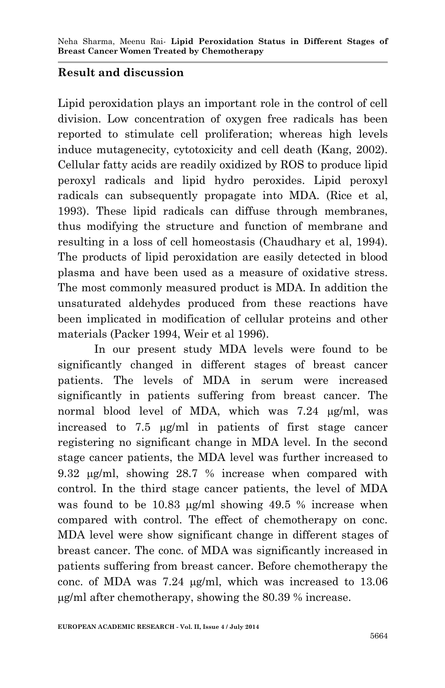### **Result and discussion**

Lipid peroxidation plays an important role in the control of cell division. Low concentration of oxygen free radicals has been reported to stimulate cell proliferation; whereas high levels induce mutagenecity, cytotoxicity and cell death (Kang, 2002). Cellular fatty acids are readily oxidized by ROS to produce lipid peroxyl radicals and lipid hydro peroxides. Lipid peroxyl radicals can subsequently propagate into MDA. (Rice et al, 1993). These lipid radicals can diffuse through membranes, thus modifying the structure and function of membrane and resulting in a loss of cell homeostasis (Chaudhary et al, 1994). The products of lipid peroxidation are easily detected in blood plasma and have been used as a measure of oxidative stress. The most commonly measured product is MDA. In addition the unsaturated aldehydes produced from these reactions have been implicated in modification of cellular proteins and other materials (Packer 1994, Weir et al 1996).

In our present study MDA levels were found to be significantly changed in different stages of breast cancer patients. The levels of MDA in serum were increased significantly in patients suffering from breast cancer. The normal blood level of MDA, which was  $7.24 \text{ µg/ml}$ , was increased to 7.5  $\mu$ g/ml in patients of first stage cancer registering no significant change in MDA level. In the second stage cancer patients, the MDA level was further increased to 9.32  $\mu$ g/ml, showing 28.7 % increase when compared with control. In the third stage cancer patients, the level of MDA was found to be  $10.83 \mu g/ml$  showing  $49.5 \%$  increase when compared with control. The effect of chemotherapy on conc. MDA level were show significant change in different stages of breast cancer. The conc. of MDA was significantly increased in patients suffering from breast cancer. Before chemotherapy the conc. of MDA was  $7.24 \mu g/ml$ , which was increased to  $13.06$ g/ml after chemotherapy, showing the 80.39 % increase.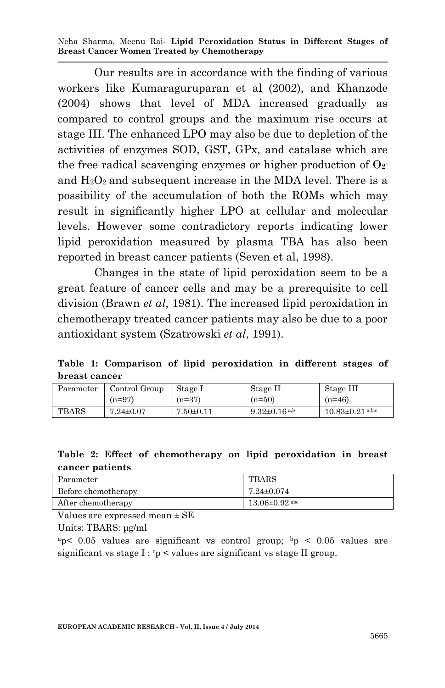Neha Sharma, Meenu Rai*-* **Lipid Peroxidation Status in Different Stages of Breast Cancer Women Treated by Chemotherapy**

Our results are in accordance with the finding of various workers like Kumaraguruparan et al (2002), and Khanzode (2004) shows that level of MDA increased gradually as compared to control groups and the maximum rise occurs at stage III. The enhanced LPO may also be due to depletion of the activities of enzymes SOD, GST, GPx, and catalase which are the free radical scavenging enzymes or higher production of O**<sup>2</sup>**  and  $H_2O_2$  and subsequent increase in the MDA level. There is a possibility of the accumulation of both the ROMs which may result in significantly higher LPO at cellular and molecular levels. However some contradictory reports indicating lower lipid peroxidation measured by plasma TBA has also been reported in breast cancer patients (Seven et al, 1998).

Changes in the state of lipid peroxidation seem to be a great feature of cancer cells and may be a prerequisite to cell division (Brawn *et al*, 1981). The increased lipid peroxidation in chemotherapy treated cancer patients may also be due to a poor antioxidant system (Szatrowski *et al*, 1991).

**Table 1: Comparison of lipid peroxidation in different stages of breast cancer** 

| Parameter | Control Group   | Stage I         | Stage II            | Stage III              |
|-----------|-----------------|-----------------|---------------------|------------------------|
|           | $(n=97)$        | $(n=37)$        | $(n=50)$            | $(n=46)$               |
| TBARS     | $7.24 \pm 0.07$ | $7.50 \pm 0.11$ | $9.32 \pm 0.16$ a,b | $10.83 \pm 0.21$ a,b,c |

#### **Table 2: Effect of chemotherapy on lipid peroxidation in breast cancer patients**

| Parameter           | TBARS                |
|---------------------|----------------------|
| Before chemotherapy | 7.24±0.074           |
| After chemotherapy  | $13.06 \pm 0.92$ abc |

Values are expressed mean ± SE

Units: TBARS: μg/ml

<sup>a</sup>p< 0.05 values are significant vs control group;  $b<sub>p</sub> < 0.05$  values are significant vs stage I ;  $c_p$  < values are significant vs stage II group.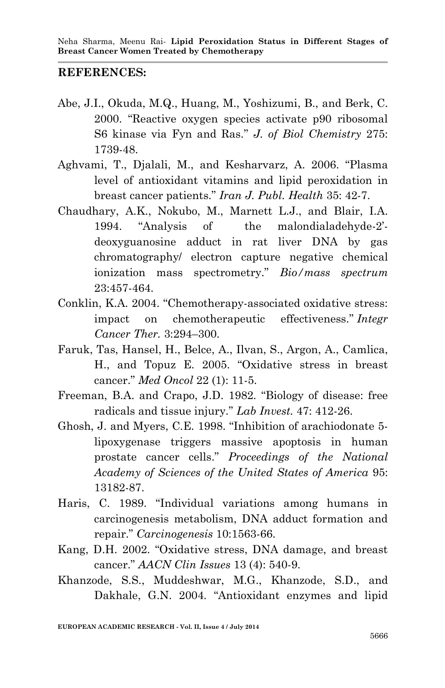### **REFERENCES:**

- Abe, J.I., Okuda, M.Q., Huang, M., Yoshizumi, B., and Berk, C. 2000. "Reactive oxygen species activate p90 ribosomal S6 kinase via Fyn and Ras." *J. of Biol Chemistry* 275: 1739-48.
- Aghvami, T., Djalali, M., and Kesharvarz, A. 2006. "Plasma level of antioxidant vitamins and lipid peroxidation in breast cancer patients." *Iran J. Publ. Health* 35: 42-7.
- Chaudhary, A.K., Nokubo, M., Marnett L.J., and Blair, I.A. 1994. "Analysis of the malondialadehyde-2' deoxyguanosine adduct in rat liver DNA by gas chromatography/ electron capture negative chemical ionization mass spectrometry." *Bio/mass spectrum* 23:457-464.
- Conklin, K.A. 2004. "Chemotherapy-associated oxidative stress: impact on chemotherapeutic effectiveness." *Integr Cancer Ther.* 3:294–300.
- Faruk, Tas, Hansel, H., Belce, A., Ilvan, S., Argon, A., Camlica, H., and Topuz E. 2005. "Oxidative stress in breast cancer." *Med Oncol* 22 (1): 11-5.
- Freeman, B.A. and Crapo, J.D. 1982. "Biology of disease: free radicals and tissue injury." *Lab Invest.* 47: 412-26.
- Ghosh, J. and Myers, C.E. 1998. "Inhibition of arachiodonate 5 lipoxygenase triggers massive apoptosis in human prostate cancer cells." *Proceedings of the National Academy of Sciences of the United States of America* 95: 13182-87.
- Haris, C. 1989. "Individual variations among humans in carcinogenesis metabolism, DNA adduct formation and repair." *Carcinogenesis* 10:1563-66.
- Kang, D.H. 2002. "Oxidative stress, DNA damage, and breast cancer." *AACN Clin Issues* 13 (4): 540-9.
- Khanzode, S.S., Muddeshwar, M.G., Khanzode, S.D., and Dakhale, G.N. 2004. "Antioxidant enzymes and lipid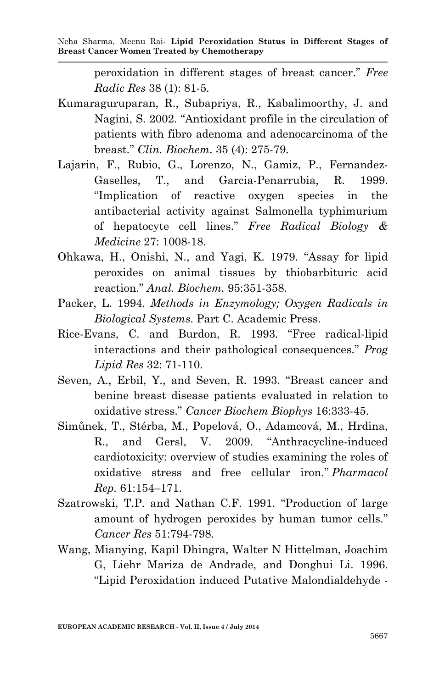peroxidation in different stages of breast cancer." *Free Radic Res* 38 (1): 81-5.

- Kumaraguruparan, R., Subapriya, R., Kabalimoorthy, J. and Nagini, S. 2002. "Antioxidant profile in the circulation of patients with fibro adenoma and adenocarcinoma of the breast." *Clin. Biochem*. 35 (4): 275-79.
- Lajarin, F., Rubio, G., Lorenzo, N., Gamiz, P., Fernandez-Gaselles, T., and Garcia-Penarrubia, R. 1999. "Implication of reactive oxygen species in the antibacterial activity against Salmonella typhimurium of hepatocyte cell lines." *Free Radical Biology & Medicine* 27: 1008-18.
- Ohkawa, H., Onishi, N., and Yagi, K. 1979. "Assay for lipid peroxides on animal tissues by thiobarbituric acid reaction." *Anal. Biochem.* 95:351-358.
- Packer, L. 1994. *Methods in Enzymology; Oxygen Radicals in Biological Systems*. Part C. Academic Press.
- Rice-Evans, C. and Burdon, R. 1993. "Free radical-lipid interactions and their pathological consequences." *Prog Lipid Res* 32: 71-110.
- Seven, A., Erbil, Y., and Seven, R. 1993. "Breast cancer and benine breast disease patients evaluated in relation to oxidative stress." *Cancer Biochem Biophys* 16:333-45.
- Simůnek, T., Stérba, M., Popelová, O., Adamcová, M., Hrdina, R., and Gersl, V. 2009. "Anthracycline-induced cardiotoxicity: overview of studies examining the roles of oxidative stress and free cellular iron." *Pharmacol Rep.* 61:154–171.
- Szatrowski, T.P. and Nathan C.F. 1991. "Production of large amount of hydrogen peroxides by human tumor cells." *Cancer Res* 51:794-798.
- Wang, Mianying, Kapil Dhingra, Walter N Hittelman, Joachim G, Liehr Mariza de Andrade, and Donghui Li. 1996. "Lipid Peroxidation induced Putative Malondialdehyde -